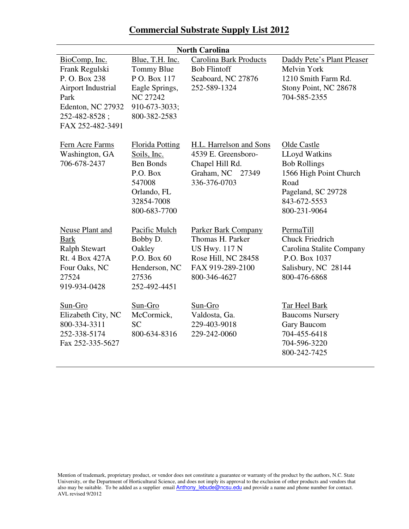## **Commercial Substrate Supply List 2012**

| <b>North Carolina</b>                                                                                                                   |                                                                                                                              |                                                                                                                                   |                                                                                                                                                    |  |
|-----------------------------------------------------------------------------------------------------------------------------------------|------------------------------------------------------------------------------------------------------------------------------|-----------------------------------------------------------------------------------------------------------------------------------|----------------------------------------------------------------------------------------------------------------------------------------------------|--|
| BioComp, Inc.<br>Frank Regulski<br>P.O. Box 238<br>Airport Industrial<br>Park<br>Edenton, NC 27932<br>252-482-8528;<br>FAX 252-482-3491 | Blue, T.H. Inc.<br>Tommy Blue<br>P O. Box 117<br>Eagle Springs,<br><b>NC 27242</b><br>910-673-3033;<br>800-382-2583          | <b>Carolina Bark Products</b><br><b>Bob Flintoff</b><br>Seaboard, NC 27876<br>252-589-1324                                        | Daddy Pete's Plant Pleaser<br>Melvin York<br>1210 Smith Farm Rd.<br>Stony Point, NC 28678<br>704-585-2355                                          |  |
| Fern Acre Farms<br>Washington, GA<br>706-678-2437                                                                                       | <b>Florida Potting</b><br>Soils, Inc.<br><b>Ben Bonds</b><br>P.O. Box<br>547008<br>Orlando, FL<br>32854-7008<br>800-683-7700 | H.L. Harrelson and Sons<br>4539 E. Greensboro-<br>Chapel Hill Rd.<br>Graham, NC 27349<br>336-376-0703                             | Olde Castle<br><b>LLoyd Watkins</b><br><b>Bob Rollings</b><br>1566 High Point Church<br>Road<br>Pageland, SC 29728<br>843-672-5553<br>800-231-9064 |  |
| <b>Neuse Plant and</b><br><b>Bark</b><br><b>Ralph Stewart</b><br>Rt. 4 Box 427A<br>Four Oaks, NC<br>27524<br>919-934-0428               | Pacific Mulch<br>Bobby D.<br>Oakley<br>P.O. Box 60<br>Henderson, NC<br>27536<br>252-492-4451                                 | <b>Parker Bark Company</b><br>Thomas H. Parker<br><b>US Hwy. 117 N</b><br>Rose Hill, NC 28458<br>FAX 919-289-2100<br>800-346-4627 | PermaTill<br>Chuck Friedrich<br>Carolina Stalite Company<br>P.O. Box 1037<br>Salisbury, NC 28144<br>800-476-6868                                   |  |
| Sun-Gro<br>Elizabeth City, NC<br>800-334-3311<br>252-338-5174<br>Fax 252-335-5627                                                       | Sun-Gro<br>McCormick,<br><b>SC</b><br>800-634-8316                                                                           | Sun-Gro<br>Valdosta, Ga.<br>229-403-9018<br>229-242-0060                                                                          | <b>Tar Heel Bark</b><br><b>Baucoms Nursery</b><br>Gary Baucom<br>704-455-6418<br>704-596-3220<br>800-242-7425                                      |  |

Mention of trademark, proprietary product, or vendor does not constitute a guarantee or warranty of the product by the authors, N.C. State University, or the Department of Horticultural Science, and does not imply its approval to the exclusion of other products and vendors that also may be suitable. To be added as a supplier email **Anthony** lebude@ncsu.edu and provide a name and phone number for contact. AVL revised 9/2012